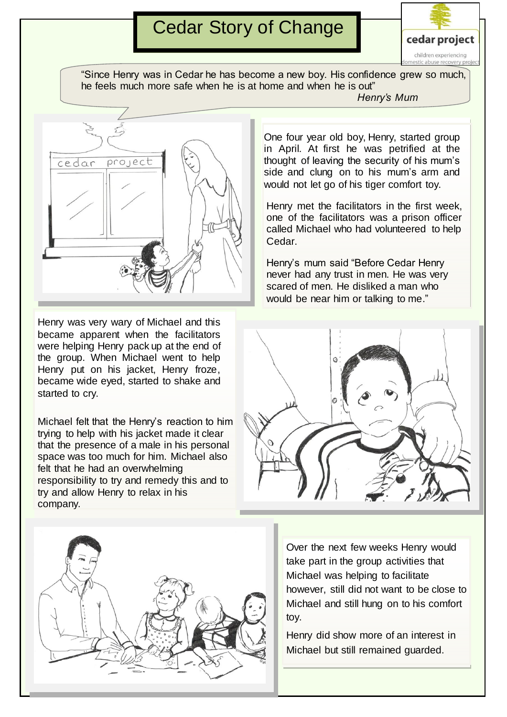## Cedar Story of Change



"Since Henry was in Cedar he has become a new boy. His confidence grew so much, he feels much more safe when he is at home and when he is out"

cedar project

Henry was very wary of Michael and this became apparent when the facilitators were helping Henry pack up at the end of the group. When Michael went to help Henry put on his jacket, Henry froze, became wide eyed, started to shake and started to cry.

Michael felt that the Henry's reaction to him trying to help with his jacket made it clear that the presence of a male in his personal space was too much for him. Michael also felt that he had an overwhelming responsibility to try and remedy this and to try and allow Henry to relax in his company.



*Henry's Mum*

One four year old boy, Henry, started group in April. At first he was petrified at the thought of leaving the security of his mum's side and clung on to his mum's arm and would not let go of his tiger comfort toy.

Henry met the facilitators in the first week, one of the facilitators was a prison officer called Michael who had volunteered to help Cedar.

Henry's mum said "Before Cedar Henry never had any trust in men. He was very scared of men. He disliked a man who would be near him or talking to me."



Over the next few weeks Henry would take part in the group activities that Michael was helping to facilitate however, still did not want to be close to Michael and still hung on to his comfort toy.

Henry did show more of an interest in Michael but still remained guarded.